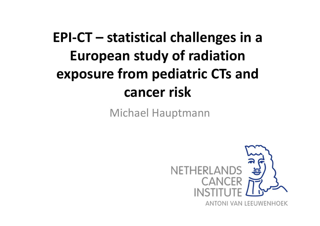# **EPI-CT – statistical challenges in a European study of radiation exposure from pediatric CTs and cancer risk**

Michael Hauptmann

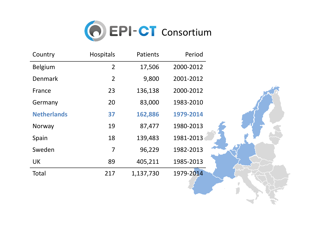

| Country            | Hospitals      | Patients  | Period    |  |
|--------------------|----------------|-----------|-----------|--|
| <b>Belgium</b>     | $\overline{2}$ | 17,506    | 2000-2012 |  |
| <b>Denmark</b>     | $\overline{2}$ | 9,800     | 2001-2012 |  |
| France             | 23             | 136,138   | 2000-2012 |  |
| Germany            | 20             | 83,000    | 1983-2010 |  |
| <b>Netherlands</b> | 37             | 162,886   | 1979-2014 |  |
| Norway             | 19             | 87,477    | 1980-2013 |  |
| Spain              | 18             | 139,483   | 1981-2013 |  |
| Sweden             | $\overline{7}$ | 96,229    | 1982-2013 |  |
| UK                 | 89             | 405,211   | 1985-2013 |  |
| Total              | 217            | 1,137,730 | 1979-2014 |  |
|                    |                |           |           |  |
|                    |                |           |           |  |
|                    |                |           |           |  |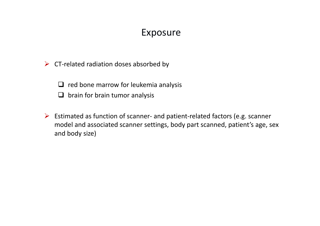#### Exposure

 $\triangleright$  CT-related radiation doses absorbed by

□ red bone marrow for leukemia analysis **■** brain for brain tumor analysis

Estimated as function of scanner- and patient-related factors (e.g. scanner model and associated scanner settings, body part scanned, patient's age, sex and body size)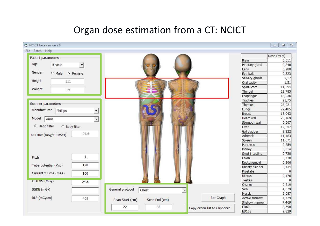## Organ dose estimation from a CT: NCICT

| NCICT beta version 2.0               |                          |                                                   |                              |                 | 回   23<br>$\equiv$ |
|--------------------------------------|--------------------------|---------------------------------------------------|------------------------------|-----------------|--------------------|
| Batch Help<br>File                   |                          |                                                   |                              |                 |                    |
| Patient parameters                   |                          |                                                   |                              |                 | Dose (mGy)         |
|                                      |                          |                                                   |                              | Brain           | 0,511              |
| Age<br>5-year                        |                          |                                                   |                              | Pituitary gland | 0,348              |
|                                      |                          |                                                   |                              | Lens            | 0,288              |
| Gender<br>$\subset$ Male<br>G Female |                          |                                                   |                              | Eye balls       | 0,323              |
|                                      |                          |                                                   |                              | Salivary glands | 2,17               |
| Height<br>111                        |                          |                                                   |                              | Oral cavity     | 1,51               |
| Weight                               |                          |                                                   |                              | Spinal cord     | 11,094             |
| 19                                   |                          |                                                   |                              | Thyroid         | 23,785             |
|                                      |                          |                                                   |                              | Esophagus       | 18,036             |
|                                      |                          |                                                   |                              | Trachea         | 21,75              |
| Scanner parameters                   |                          |                                                   |                              | Thymus          | 23,021             |
| Manufacturer<br>Phillips             | $\overline{\phantom{a}}$ |                                                   |                              | Lungs           | 22,485             |
|                                      |                          |                                                   |                              | Breast          | 18,943             |
| Model<br>Aura                        | $\blacktriangledown$     |                                                   |                              | Heart wall      | 23,169             |
|                                      |                          |                                                   |                              | Stomach wall    | 9,507              |
| F Head filter<br>C Body filter       |                          |                                                   |                              | Liver           | 12,057             |
|                                      | 24.6                     |                                                   |                              | Gall bladder    | 3,322              |
| nCTDIw (mGy/100mAs)                  |                          |                                                   |                              | <b>Adrenals</b> | 11,183             |
|                                      |                          |                                                   |                              | Spleen          | 11,671             |
|                                      |                          |                                                   |                              | Pancreas        | 2,859              |
|                                      |                          |                                                   |                              | Kidney          | 3,314              |
|                                      |                          |                                                   |                              | Small intestine | 0,728              |
| Pitch                                | $1\,$                    |                                                   |                              | Colon           | 0,738              |
| Tube potential (kVp)                 | 120                      |                                                   |                              | Rectosigmoid    | 0,206              |
|                                      |                          |                                                   |                              | Urinary bladder | 0,134              |
| Current x Time (mAs)                 | 100                      |                                                   |                              | Prostate        | $\Omega$           |
|                                      |                          |                                                   |                              | Uterus          | 0,176              |
| CTDIvol (mGy)                        | 24,6                     |                                                   |                              | Testes          | $\Omega$           |
|                                      |                          |                                                   |                              | Ovaries         | 0,219              |
| SSDE (mGy)                           |                          | General protocol<br>Chest<br>$\blacktriangledown$ |                              | Skin            | 4,379              |
|                                      |                          |                                                   |                              | Muscle          | 5,087              |
| DLP (mGycm)                          | 408                      | Scan End (cm)<br>Scan Start (cm)                  | <b>Bar Graph</b>             | Active marrow   | 4,729              |
|                                      |                          |                                                   |                              | Shallow marrow  | 7,469              |
|                                      |                          | 38<br>22                                          | Copy organ list to Clipboard | ED60            | 8,598              |
|                                      |                          |                                                   |                              | ED103           | 9,829              |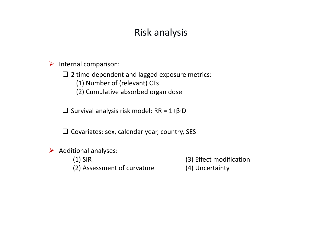### Risk analysis

 $\triangleright$  Internal comparison:

□ 2 time-dependent and lagged exposure metrics:<br>(1) Number of (relevant) CEs

(1) Number of (relevant) CTs

(2) Cumulative absorbed organ dose

- Survival analysis risk model: RR = 1+β·D

**□** Covariates: sex, calendar year, country, SES

 $\triangleright$  Additional analyses:

(1) SIR (3) Effect modification<br>(2) Assessment of curvature (4) Uncertainty (2) Assessment of curvature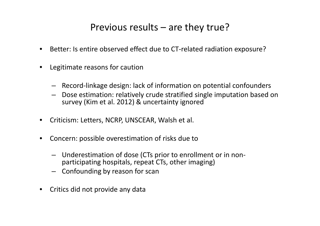### Previous results – are they true?

- $\bullet$ Better: Is entire observed effect due to CT-related radiation exposure?
- $\bullet$  Legitimate reasons for caution
	- Record-linkage design: lack of information on potential confounders
	- Dose estimation: relatively crude stratified single imputation based on survey (Kim et al. 2012) & uncertainty ignored
- $\bullet$ Criticism: Letters, NCRP, UNSCEAR, Walsh et al.
- $\bullet$  Concern: possible overestimation of risks due to
	- Underestimation of dose (CTs prior to enrollment or in nonparticipating hospitals, repeat CTs, other imaging)
	- Confounding by reason for scan
- $\bullet$ Critics did not provide any data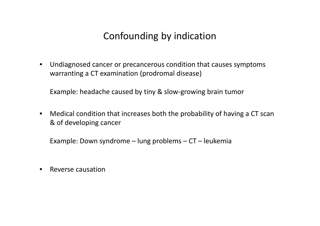## Confounding by indication

 $\bullet$  Undiagnosed cancer or precancerous condition that causes symptoms warranting a CT examination (prodromal disease)

Example: headache caused by tiny & slow-growing brain tumor

 $\bullet$  Medical condition that increases both the probability of having a CT scan & of developing cancer

Example: Down syndrome – lung problems – CT – leukemia

 $\bullet$ Reverse causation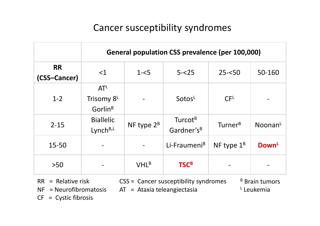## Cancer susceptibility syndromes

|                           | General population CSS prevalence (per 100,000)      |               |                                               |                     |                     |
|---------------------------|------------------------------------------------------|---------------|-----------------------------------------------|---------------------|---------------------|
| <b>RR</b><br>(CSS-Cancer) | $\leq$ 1                                             | $1 - 5$       | $5 - 25$                                      | $25 - 50$           | 50-160              |
| $1 - 2$                   | AT <sup>L</sup><br>Trisomy 8L<br>Gorlin <sup>B</sup> |               | SotosL                                        | CF <sup>L</sup>     |                     |
| $2 - 15$                  | <b>Biallelic</b><br>Lynch <sup>B,L</sup>             | NF type $2^B$ | Turcot <sup>B</sup><br>Gardner's <sup>B</sup> | Turner <sup>B</sup> | Noonan <sup>L</sup> |
| 15-50                     |                                                      |               | Li-Fraumeni <sup>B</sup>                      | NF type $1^B$       | Down <sup>L</sup>   |
| $>50$                     |                                                      | $VHL^B$       | <b>TSCB</b>                                   |                     |                     |

 $RR$  = Relative risk  $CSS$  = Cancer susceptibility syndromes<br>NF = Neurofibromatosis  $AT$  = Ataxia teleangiectasia

 $AT = Ataxia teleangiectasia$ 

<sup>B</sup> Brain tumors <sup>L</sup> Leukemia

 $CF = \text{Cystic fibrosis}$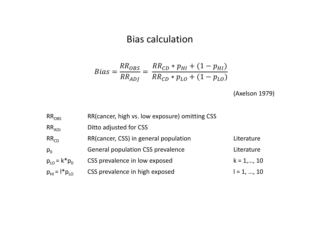#### Bias calculation

$$
Bias = \frac{RR_{OBS}}{RR_{ADJ}} = \frac{RR_{CD} * p_{HI} + (1 - p_{HI})}{RR_{CD} * p_{LO} + (1 - p_{LO})}
$$

(Axelson 1979)

| $RR_{OBS}$                         | RR(cancer, high vs. low exposure) omitting CSS |               |
|------------------------------------|------------------------------------------------|---------------|
| $RR_{ADJ}$                         | Ditto adjusted for CSS                         |               |
| RR <sub>CD</sub>                   | RR(cancer, CSS) in general population          | Literature    |
| $p_0$                              | <b>General population CSS prevalence</b>       | Literature    |
| $p_{10} = k^* p_0$                 | CSS prevalence in low exposed                  | $k = 1, , 10$ |
| $p_{\text{H}} = l^* p_{\text{LO}}$ | CSS prevalence in high exposed                 | $I = 1, , 10$ |
|                                    |                                                |               |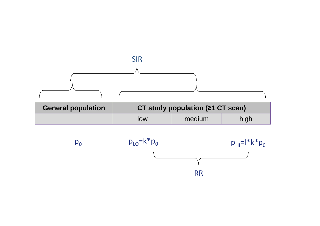

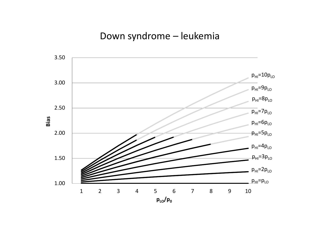#### Down syndrome – leukemia

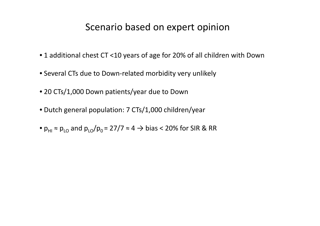#### Scenario based on expert opinion

- 1 additional chest CT <10 years of age for 20% of all children with Down
- Several CTs due to Down-related morbidity very unlikely
- 20 CTs/1,000 Down patients/year due to Down
- Dutch general population: 7 CTs/1,000 children/year
- $p_{\text{\tiny{HI}}}$  ≈  $p_{\text{\tiny{LO}}}$  and  $p_{\text{\tiny{LO}}}/p_{\text{\tiny{O}}}$  = 27/7 ≈ 4  $\rightarrow$  bias < 20% for SIR & RR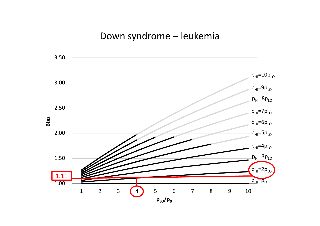#### Down syndrome – leukemia

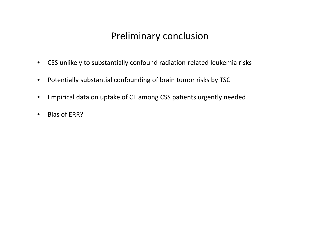### Preliminary conclusion

- $\bullet$ CSS unlikely to substantially confound radiation-related leukemia risks
- •Potentially substantial confounding of brain tumor risks by TSC
- •Empirical data on uptake of CT among CSS patients urgently needed
- •Bias of ERR?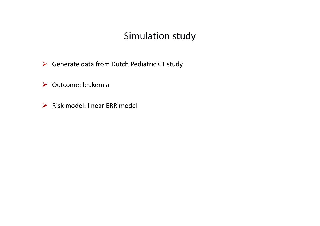#### Simulation study

- Generate data from Dutch Pediatric CT study
- Outcome: leukemia
- **►** Risk model: linear ERR model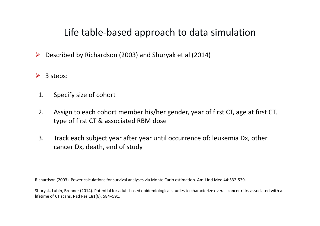### Life table-based approach to data simulation

- $\blacktriangleright$ Described by Richardson (2003) and Shuryak et al (2014)
- $\geqslant$  3 steps:
- 1. Specify size of cohort
- 2. Assign to each cohort member his/her gender, year of first CT, age at first CT, type of first CT & associated RBM dose
- 3. Track each subject year after year until occurrence of: leukemia Dx, other cancer Dx, death, end of study

Richardson (2003). Power calculations for survival analyses via Monte Carlo estimation. Am J Ind Med 44:532-539.

Shuryak, Lubin, Brenner (2014). Potential for adult-based epidemiological studies to characterize overall cancer risks associated with a lifetime of CT scans. Rad Res 181(6), 584–591.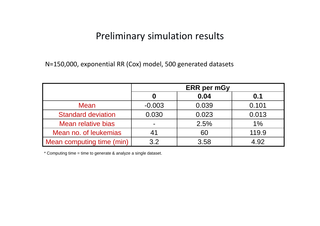#### Preliminary simulation results

N=150,000, exponential RR (Cox) model, 500 generated datasets

|                           | <b>ERR</b> per mGy |       |       |
|---------------------------|--------------------|-------|-------|
|                           | O                  | 0.04  | 0.1   |
| <b>Mean</b>               | $-0.003$           | 0.039 | 0.101 |
| <b>Standard deviation</b> | 0.030              | 0.023 | 0.013 |
| <b>Mean relative bias</b> | $\blacksquare$     | 2.5%  | 1%    |
| Mean no. of leukemias     | 41                 | 60    | 119.9 |
| Mean computing time (min) | 3.2                | 3.58  | 4.92  |

\* Computing time = time to generate & analyze a single dataset.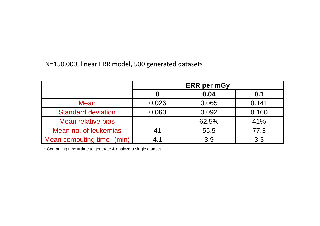N=150,000, linear ERR model, 500 generated datasets

|                            | <b>ERR</b> per mGy |       |       |
|----------------------------|--------------------|-------|-------|
|                            |                    | 0.04  | 0.1   |
| <b>Mean</b>                | 0.026              | 0.065 | 0.141 |
| <b>Standard deviation</b>  | 0.060              | 0.092 | 0.160 |
| Mean relative bias         |                    | 62.5% | 41%   |
| Mean no. of leukemias      |                    | 55.9  | 77.3  |
| Mean computing time* (min) | 4 1                | 3.9   | 3.3   |

\* Computing time = time to generate & analyze a single dataset.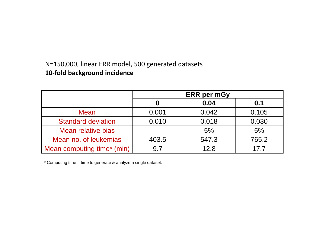#### N=150,000, linear ERR model, 500 generated datasets**10-fold background incidence**

|                            | <b>ERR</b> per mGy |       |                 |
|----------------------------|--------------------|-------|-----------------|
|                            |                    | 0.04  | 0.1             |
| <b>Mean</b>                | 0.001              | 0.042 | 0.105           |
| <b>Standard deviation</b>  | 0.010              | 0.018 | 0.030           |
| Mean relative bias         |                    | 5%    | 5%              |
| Mean no. of leukemias      | 403.5              | 547.3 | 765.2           |
| Mean computing time* (min) |                    | 12.8  | 17 <sub>7</sub> |

\* Computing time = time to generate & analyze a single dataset.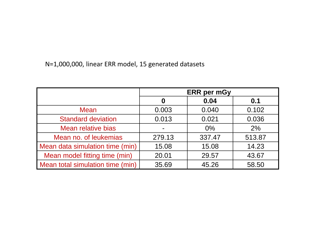N=1,000,000, linear ERR model, 15 generated datasets

|                                  | <b>ERR</b> per mGy |        |        |
|----------------------------------|--------------------|--------|--------|
|                                  | 0                  | 0.04   | 0.1    |
| <b>Mean</b>                      | 0.003              | 0.040  | 0.102  |
| <b>Standard deviation</b>        | 0.013              | 0.021  | 0.036  |
| Mean relative bias               |                    | $0\%$  | 2%     |
| Mean no. of leukemias            | 279.13             | 337.47 | 513.87 |
| Mean data simulation time (min)  | 15.08              | 15.08  | 14.23  |
| Mean model fitting time (min)    | 20.01              | 29.57  | 43.67  |
| Mean total simulation time (min) | 35.69              | 45.26  | 58.50  |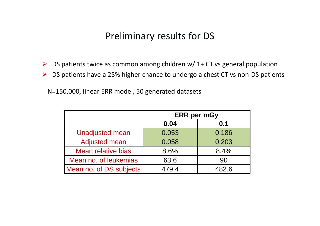#### Preliminary results for DS

- $\triangleright$  DS patients twice as common among children w/ 1+ CT vs general population
- $\triangleright$  DS patients have a 25% higher chance to undergo a chest CT vs non-DS patients

N=150,000, linear ERR model, 50 generated datasets

|                           | <b>ERR</b> per mGy |       |  |
|---------------------------|--------------------|-------|--|
|                           | 0.04               | 0.1   |  |
| <b>Unadjusted mean</b>    | 0.053              | 0.186 |  |
| <b>Adjusted mean</b>      | 0.058              | 0.203 |  |
| <b>Mean relative bias</b> | 8.6%               | 8.4%  |  |
| Mean no. of leukemias     | 63.6               | 90    |  |
| Mean no. of DS subjects   | 479.4              | 482.6 |  |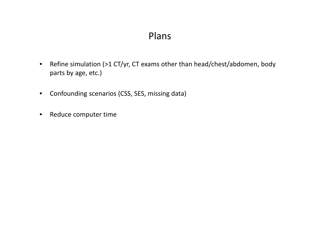#### Plans

- $\bullet$  Refine simulation (>1 CT/yr, CT exams other than head/chest/abdomen, body parts by age, etc.)
- $\bullet$ Confounding scenarios (CSS, SES, missing data)
- •Reduce computer time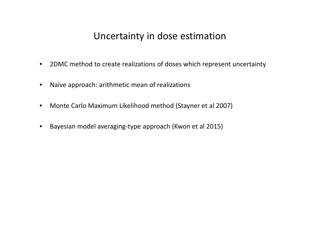#### Uncertainty in dose estimation

- 2DMC method to create realizations of doses which represent uncertainty
- •Naïve approach: arithmetic mean of realizations
- $\bullet$ Monte Carlo Maximum Likelihood method (Stayner et al 2007)
- $\bullet$ Bayesian model averaging-type approach (Kwon et al 2015)